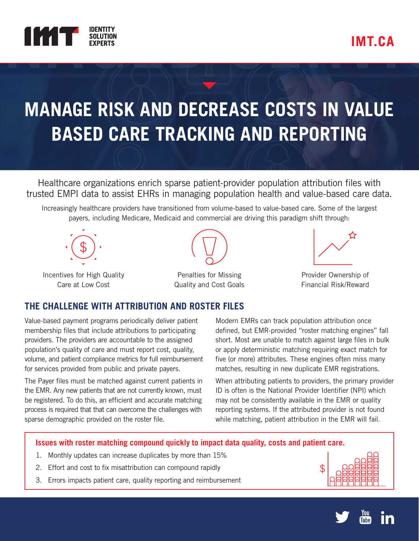

# **MANAGE RISK AND DECREASE COSTS IN VALUE BASED CARE TRACKING AND REPORTING**

Healthcare organizations enrich sparse patient-provider population attribution files with trusted EMPI data to assist EHRs in managing population health and value-based care data.

Increasingly healthcare providers have transitioned from volume-based to value-based care. Some of the largest payers, including Medicare, Medicaid and commercial are driving this paradigm shift through:



Incentives for High Quality Care at Low Cost



Penalties for Missing Quality and Cost Goals



Provider Ownership of Financial Risk/Reward

### **THE CHALLENGE WITH ATTRIBUTION AND ROSTER FILES**

Value-based payment programs periodically deliver patient membership files that include attributions to participating providers. The providers are accountable to the assigned population's quality of care and must report cost, quality, volume, and patient compliance metrics for full reimbursement for services provided from public and private payers.

The Payer files must be matched against current patients in the EMR. Any new patients that are not currently known, must be registered. To do this, an efficient and accurate matching process is required that that can overcome the challenges with sparse demographic provided on the roster file.

Modern EMRs can track population attribution once defined, but EMR-provided "roster matching engines" fall short. Most are unable to match against large files in bulk or apply deterministic matching requiring exact match for five (or more) attributes. These engines often miss many matches, resulting in new duplicate EMR registrations.

When attributing patients to providers, the primary provider ID is often is the National Provider Identifier (NPI) which may not be consistently available in the EMR or quality reporting systems. If the attributed provider is not found while matching, patient attribution in the EMR will fail.

### **Issues with roster matching compound quickly to impact data quality, costs and patient care.**

- 1. Monthly updates can increase duplicates by more than 15%
- 2. Effort and cost to fix misattribution can compound rapidly
- 3. Errors impacts patient care, quality reporting and reimbursement



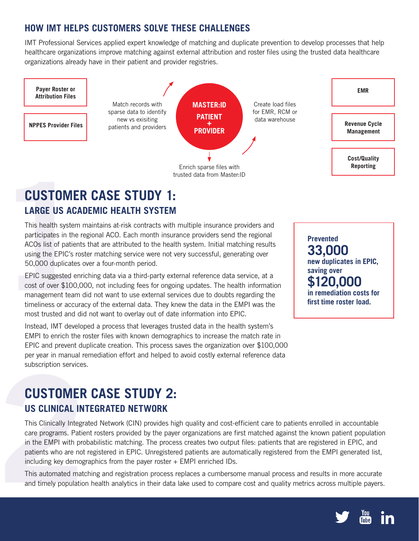### **HOW IMT HELPS CUSTOMERS SOLVE THESE CHALLENGES**

IMT Professional Services applied expert knowledge of matching and duplicate prevention to develop processes that help healthcare organizations improve matching against external attribution and roster files using the trusted data healthcare organizations already have in their patient and provider registries.



## **CUSTOMER CASE STUDY 1: LARGE US ACADEMIC HEALTH SYSTEM**

This health system maintains at-risk contracts with multiple insurance providers and participates in the regional ACO. Each month insurance providers send the regional ACOs list of patients that are attributed to the health system. Initial matching results using the EPIC's roster matching service were not very successful, generating over 50,000 duplicates over a four-month period.

**CUSTOMER**<br> **LARGE US ACAD**<br>
This health system m<br>
participates in the reg<br>
ACOs list of patients<br>
using the EPIC's rost<br>
50,000 duplicates ov<br>
EPIC suggested enric<br>
cost of over \$100,00<br>
management team di<br>
timeliness or EPIC suggested enriching data via a third-party external reference data service, at a cost of over \$100,000, not including fees for ongoing updates. The health information management team did not want to use external services due to doubts regarding the timeliness or accuracy of the external data. They knew the data in the EMPI was the most trusted and did not want to overlay out of date information into EPIC.

Instead, IMT developed a process that leverages trusted data in the health system's EMPI to enrich the roster files with known demographics to increase the match rate in EPIC and prevent duplicate creation. This process saves the organization over \$100,000 per year in manual remediation effort and helped to avoid costly external reference data subscription services.

# **CUSTOMER CASE STUDY 2: US CLINICAL INTEGRATED NETWORK**

subscription services.<br>
CUSTOMER<br>
US CLINICAL INT<br>
This Clinically Integra<br>
care programs. Patien<br>
in the EMPI with prof<br>
patients who are not<br>
including key demogr<br>
This automated matc<br>
and timely population This Clinically Integrated Network (CIN) provides high quality and cost-efficient care to patients enrolled in accountable care programs. Patient rosters provided by the payer organizations are first matched against the known patient population in the EMPI with probabilistic matching. The process creates two output files: patients that are registered in EPIC, and patients who are not registered in EPIC. Unregistered patients are automatically registered from the EMPI generated list, including key demographics from the payer roster + EMPI enriched IDs.

This automated matching and registration process replaces a cumbersome manual process and results in more accurate and timely population health analytics in their data lake used to compare cost and quality metrics across multiple payers.

**Prevented 33,000 new duplicates in EPIC, saving over \$120,000 in remediation costs for first time roster load.**